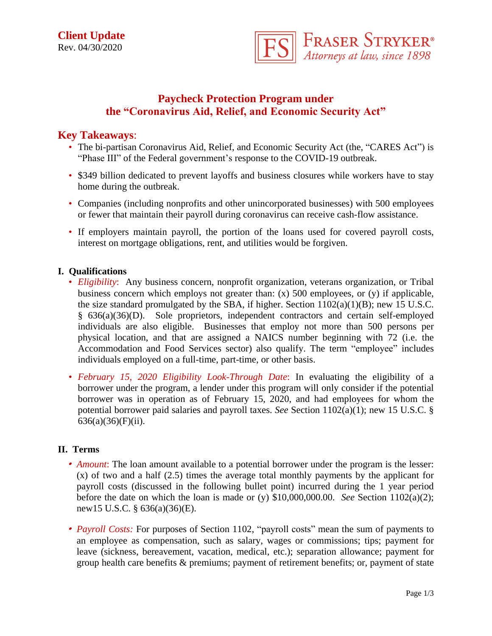

# **Paycheck Protection Program under the "Coronavirus Aid, Relief, and Economic Security Act"**

## **Key Takeaways**:

- The bi-partisan Coronavirus Aid, Relief, and Economic Security Act (the, "CARES Act") is "Phase III" of the Federal government's response to the COVID-19 outbreak.
- \$349 billion dedicated to prevent layoffs and business closures while workers have to stay home during the outbreak.
- Companies (including nonprofits and other unincorporated businesses) with 500 employees or fewer that maintain their payroll during coronavirus can receive cash-flow assistance.
- If employers maintain payroll, the portion of the loans used for covered payroll costs, interest on mortgage obligations, rent, and utilities would be forgiven.

### **I. Qualifications**

- *Eligibility*: Any business concern, nonprofit organization, veterans organization, or Tribal business concern which employs not greater than: (x) 500 employees, or (y) if applicable, the size standard promulgated by the SBA, if higher. Section  $1102(a)(1)(B)$ ; new 15 U.S.C. § 636(a)(36)(D). Sole proprietors, independent contractors and certain self-employed individuals are also eligible. Businesses that employ not more than 500 persons per physical location, and that are assigned a NAICS number beginning with 72 (i.e. the Accommodation and Food Services sector) also qualify. The term "employee" includes individuals employed on a full-time, part-time, or other basis.
- *February 15, 2020 Eligibility Look-Through Date*: In evaluating the eligibility of a borrower under the program, a lender under this program will only consider if the potential borrower was in operation as of February 15, 2020, and had employees for whom the potential borrower paid salaries and payroll taxes. *See* Section 1102(a)(1); new 15 U.S.C. §  $636(a)(36)(F)(ii)$ .

#### **II. Terms**

- *Amount*: The loan amount available to a potential borrower under the program is the lesser: (x) of two and a half (2.5) times the average total monthly payments by the applicant for payroll costs (discussed in the following bullet point) incurred during the 1 year period before the date on which the loan is made or (y) \$10,000,000.00. *See* Section 1102(a)(2); new15 U.S.C. § 636(a)(36)(E).
- *Payroll Costs:* For purposes of Section 1102, "payroll costs" mean the sum of payments to an employee as compensation, such as salary, wages or commissions; tips; payment for leave (sickness, bereavement, vacation, medical, etc.); separation allowance; payment for group health care benefits & premiums; payment of retirement benefits; or, payment of state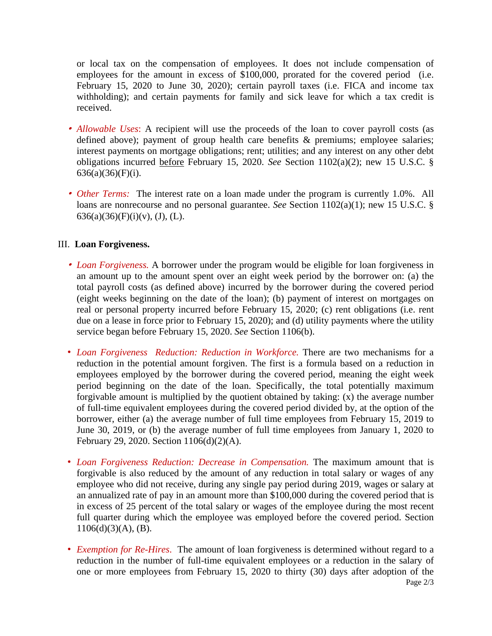or local tax on the compensation of employees. It does not include compensation of employees for the amount in excess of \$100,000, prorated for the covered period (i.e. February 15, 2020 to June 30, 2020); certain payroll taxes (i.e. FICA and income tax withholding); and certain payments for family and sick leave for which a tax credit is received.

- *Allowable Uses*: A recipient will use the proceeds of the loan to cover payroll costs (as defined above); payment of group health care benefits & premiums; employee salaries; interest payments on mortgage obligations; rent; utilities; and any interest on any other debt obligations incurred before February 15, 2020. *See* Section 1102(a)(2); new 15 U.S.C. § 636(a)(36)(F)(i).
- *Other Terms:* The interest rate on a loan made under the program is currently 1.0%. All loans are nonrecourse and no personal guarantee. *See* Section 1102(a)(1); new 15 U.S.C. §  $636(a)(36)(F)(i)(v)$ , (J), (L).

#### III. **Loan Forgiveness.**

- *Loan Forgiveness.* A borrower under the program would be eligible for loan forgiveness in an amount up to the amount spent over an eight week period by the borrower on: (a) the total payroll costs (as defined above) incurred by the borrower during the covered period (eight weeks beginning on the date of the loan); (b) payment of interest on mortgages on real or personal property incurred before February 15, 2020; (c) rent obligations (i.e. rent due on a lease in force prior to February 15, 2020); and (d) utility payments where the utility service began before February 15, 2020. *See* Section 1106(b).
- *Loan Forgiveness Reduction: Reduction in Workforce.* There are two mechanisms for a reduction in the potential amount forgiven. The first is a formula based on a reduction in employees employed by the borrower during the covered period, meaning the eight week period beginning on the date of the loan. Specifically, the total potentially maximum forgivable amount is multiplied by the quotient obtained by taking: (x) the average number of full-time equivalent employees during the covered period divided by, at the option of the borrower, either (a) the average number of full time employees from February 15, 2019 to June 30, 2019, or (b) the average number of full time employees from January 1, 2020 to February 29, 2020. Section 1106(d)(2)(A).
- *Loan Forgiveness Reduction: Decrease in Compensation.* The maximum amount that is forgivable is also reduced by the amount of any reduction in total salary or wages of any employee who did not receive, during any single pay period during 2019, wages or salary at an annualized rate of pay in an amount more than \$100,000 during the covered period that is in excess of 25 percent of the total salary or wages of the employee during the most recent full quarter during which the employee was employed before the covered period. Section  $1106(d)(3)(A)$ , (B).
- Page 2/3 • *Exemption for Re-Hires*. The amount of loan forgiveness is determined without regard to a reduction in the number of full-time equivalent employees or a reduction in the salary of one or more employees from February 15, 2020 to thirty (30) days after adoption of the